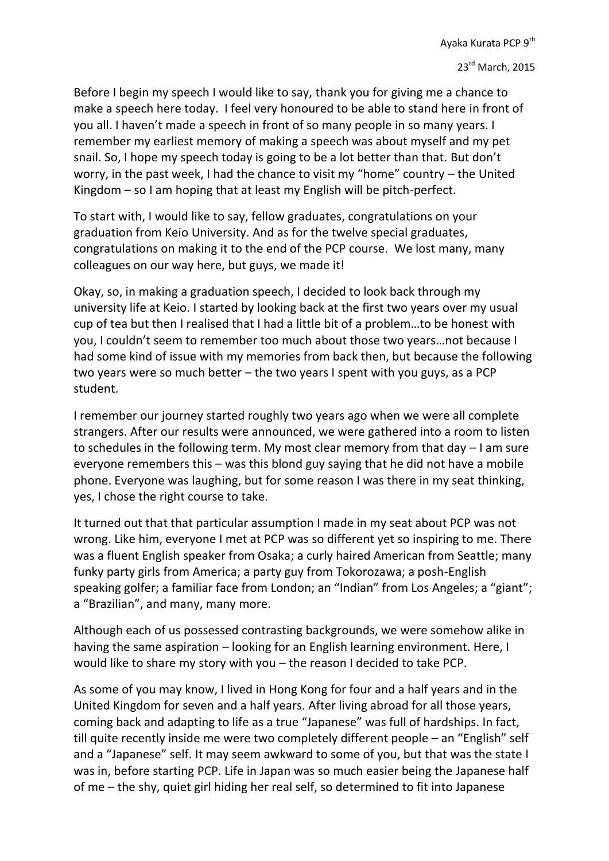Before I begin my speech I would like to say, thank you for giving me a chance to make a speech here today. I feel very honoured to be able to stand here in front of you all. I haven't made a speech in front of so many people in so many years. I remember my earliest memory of making a speech was about myself and my pet snail. So, I hope my speech today is going to be a lot better than that. But don't worry, in the past week, I had the chance to visit my "home" country – the United Kingdom – so I am hoping that at least my English will be pitch-perfect.

To start with, I would like to say, fellow graduates, congratulations on your graduation from Keio University. And as for the twelve special graduates, congratulations on making it to the end of the PCP course. We lost many, many colleagues on our way here, but guys, we made it!

Okay, so, in making a graduation speech, I decided to look back through my university life at Keio. I started by looking back at the first two years over my usual cup of tea but then I realised that I had a little bit of a problem…to be honest with you, I couldn't seem to remember too much about those two years…not because I had some kind of issue with my memories from back then, but because the following two years were so much better – the two years I spent with you guys, as a PCP student.

I remember our journey started roughly two years ago when we were all complete strangers. After our results were announced, we were gathered into a room to listen to schedules in the following term. My most clear memory from that day – I am sure everyone remembers this – was this blond guy saying that he did not have a mobile phone. Everyone was laughing, but for some reason I was there in my seat thinking, yes, I chose the right course to take.

It turned out that that particular assumption I made in my seat about PCP was not wrong. Like him, everyone I met at PCP was so different yet so inspiring to me. There was a fluent English speaker from Osaka; a curly haired American from Seattle; many funky party girls from America; a party guy from Tokorozawa; a posh-English speaking golfer; a familiar face from London; an "Indian" from Los Angeles; a "giant"; a "Brazilian", and many, many more.

Although each of us possessed contrasting backgrounds, we were somehow alike in having the same aspiration – looking for an English learning environment. Here, I would like to share my story with you – the reason I decided to take PCP.

As some of you may know, I lived in Hong Kong for four and a half years and in the United Kingdom for seven and a half years. After living abroad for all those years, coming back and adapting to life as a true "Japanese" was full of hardships. In fact, till quite recently inside me were two completely different people – an "English" self and a "Japanese" self. It may seem awkward to some of you, but that was the state I was in, before starting PCP. Life in Japan was so much easier being the Japanese half of me – the shy, quiet girl hiding her real self, so determined to fit into Japanese